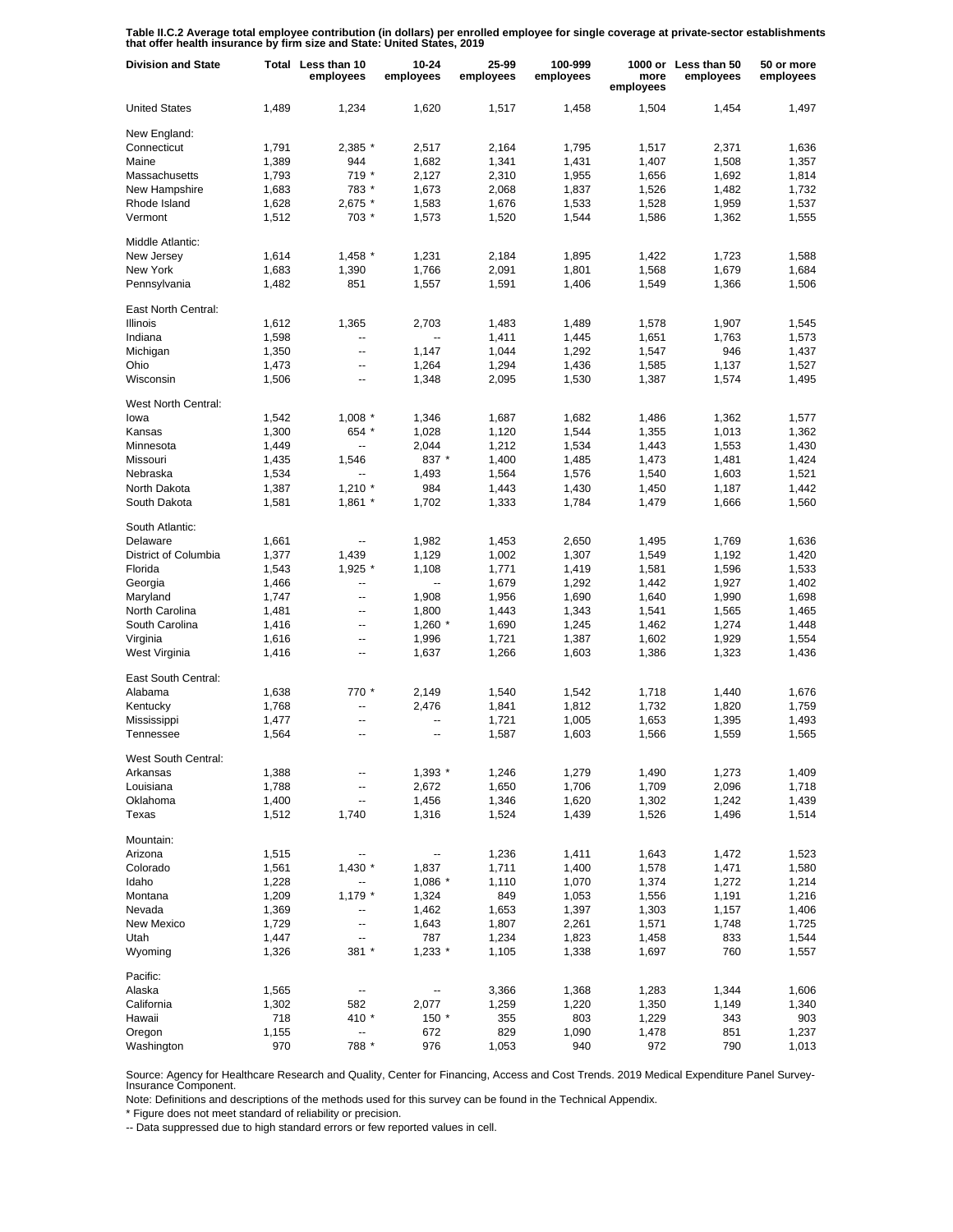**Table II.C.2 Average total employee contribution (in dollars) per enrolled employee for single coverage at private-sector establishments that offer health insurance by firm size and State: United States, 2019**

| <b>Division and State</b>   |       | Total Less than 10<br>employees | 10-24<br>employees | 25-99<br>employees | 100-999<br>employees | more<br>employees | 1000 or Less than 50<br>employees | 50 or more<br>employees |
|-----------------------------|-------|---------------------------------|--------------------|--------------------|----------------------|-------------------|-----------------------------------|-------------------------|
| <b>United States</b>        | 1,489 | 1,234                           | 1,620              | 1,517              | 1,458                | 1,504             | 1.454                             | 1.497                   |
| New England:                |       |                                 |                    |                    |                      |                   |                                   |                         |
| Connecticut                 | 1,791 | 2,385 *                         | 2,517              | 2,164              | 1,795                | 1,517             | 2,371                             | 1,636                   |
| Maine                       | 1,389 | 944                             | 1,682              | 1,341              | 1,431                | 1,407             | 1,508                             | 1,357                   |
| Massachusetts               | 1,793 | 719 *                           | 2,127              | 2,310              | 1,955                | 1,656             | 1,692                             | 1,814                   |
| New Hampshire               | 1,683 | 783 *                           | 1,673              | 2,068              | 1,837                | 1,526             | 1,482                             | 1,732                   |
| Rhode Island                | 1,628 | 2,675 *                         | 1,583              | 1,676              | 1,533                | 1,528             | 1,959                             | 1,537                   |
| Vermont                     | 1,512 | 703 *                           | 1,573              | 1,520              | 1,544                | 1,586             | 1,362                             | 1,555                   |
| Middle Atlantic:            |       |                                 |                    |                    |                      |                   |                                   |                         |
| New Jersey                  | 1,614 | $1,458$ *                       | 1,231              | 2,184              | 1,895                | 1,422             | 1,723                             | 1,588                   |
| New York                    | 1,683 | 1,390                           | 1,766              | 2,091              | 1,801                | 1,568             | 1,679                             | 1,684                   |
| Pennsylvania                | 1,482 | 851                             | 1,557              | 1,591              | 1,406                | 1,549             | 1,366                             | 1,506                   |
| East North Central:         |       |                                 |                    |                    |                      |                   |                                   |                         |
| Illinois                    | 1,612 | 1,365                           | 2,703              | 1,483              | 1,489                | 1,578             | 1,907                             | 1,545                   |
| Indiana                     | 1,598 | ۰.                              | --                 | 1,411              | 1,445                | 1,651             | 1,763                             | 1,573                   |
| Michigan                    | 1,350 | --                              | 1,147              | 1,044              | 1,292                | 1,547             | 946                               | 1,437                   |
| Ohio                        | 1,473 | $\overline{\phantom{a}}$        | 1,264              | 1,294              | 1,436                | 1,585             | 1,137                             | 1,527                   |
| Wisconsin                   | 1,506 | --                              | 1,348              | 2,095              | 1,530                | 1,387             | 1,574                             | 1,495                   |
|                             |       |                                 |                    |                    |                      |                   |                                   |                         |
| West North Central:<br>lowa | 1,542 | $1,008$ *                       | 1,346              | 1,687              | 1,682                | 1,486             | 1,362                             | 1,577                   |
| Kansas                      | 1,300 | 654 *                           | 1,028              | 1,120              | 1,544                | 1,355             | 1,013                             | 1,362                   |
| Minnesota                   | 1,449 | $\overline{\phantom{a}}$        | 2,044              | 1,212              | 1,534                | 1,443             | 1,553                             | 1,430                   |
| Missouri                    | 1,435 | 1,546                           | 837 *              | 1,400              | 1,485                | 1,473             | 1,481                             | 1,424                   |
| Nebraska                    | 1,534 | $\overline{\phantom{a}}$        | 1,493              | 1,564              | 1,576                | 1,540             | 1,603                             | 1,521                   |
| North Dakota                | 1,387 | $1,210$ *                       | 984                | 1,443              | 1,430                | 1,450             | 1,187                             | 1,442                   |
| South Dakota                | 1,581 |                                 | 1,702              |                    | 1,784                |                   | 1,666                             | 1,560                   |
|                             |       | $1,861$ *                       |                    | 1,333              |                      | 1,479             |                                   |                         |
| South Atlantic:             |       |                                 |                    |                    |                      |                   |                                   |                         |
| Delaware                    | 1,661 | ۰.                              | 1,982              | 1,453              | 2,650                | 1,495             | 1,769                             | 1,636                   |
| District of Columbia        | 1,377 | 1,439                           | 1,129              | 1,002              | 1,307                | 1,549             | 1,192                             | 1,420                   |
| Florida                     | 1,543 | $1,925$ *                       | 1,108              | 1,771              | 1,419                | 1,581             | 1,596                             | 1,533                   |
| Georgia                     | 1,466 | --                              |                    | 1,679              | 1,292                | 1,442             | 1,927                             | 1,402                   |
| Maryland                    | 1,747 | --                              | 1,908              | 1,956              | 1,690                | 1,640             | 1,990                             | 1,698                   |
| North Carolina              | 1,481 | --                              | 1,800              | 1,443              | 1,343                | 1,541             | 1,565                             | 1,465                   |
| South Carolina              | 1,416 | --                              | $1,260$ *          | 1,690              | 1,245                | 1,462             | 1,274                             | 1,448                   |
| Virginia                    | 1,616 | --                              | 1,996              | 1,721              | 1,387                | 1,602             | 1,929                             | 1,554                   |
| West Virginia               | 1,416 | --                              | 1,637              | 1,266              | 1,603                | 1,386             | 1,323                             | 1,436                   |
| East South Central:         |       |                                 |                    |                    |                      |                   |                                   |                         |
| Alabama                     | 1,638 | 770 *                           | 2,149              | 1,540              | 1,542                | 1,718             | 1.440                             | 1,676                   |
| Kentucky                    | 1,768 | --                              | 2,476              | 1,841              | 1,812                | 1.732             | 1,820                             | 1,759                   |
| Mississippi                 | 1,477 | $\overline{\phantom{a}}$        | --                 | 1,721              | 1,005                | 1,653             | 1,395                             | 1,493                   |
| Tennessee                   | 1,564 | $\overline{a}$                  | --                 | 1,587              | 1,603                | 1,566             | 1,559                             | 1,565                   |
| West South Central:         |       |                                 |                    |                    |                      |                   |                                   |                         |
| Arkansas                    | 1,388 |                                 | $1,393$ *          | 1,246              | 1,279                | 1,490             | 1,273                             | 1,409                   |
| Louisiana                   | 1,788 | --                              | 2,672              | 1,650              | 1,706                | 1,709             | 2,096                             | 1,718                   |
| Oklahoma                    | 1,400 | --                              | 1,456              | 1,346              | 1,620                | 1,302             | 1,242                             | 1,439                   |
| Texas                       | 1,512 | 1,740                           | 1,316              | 1,524              | 1,439                | 1,526             | 1,496                             | 1,514                   |
| Mountain:                   |       |                                 |                    |                    |                      |                   |                                   |                         |
| Arizona                     | 1,515 | ۰.                              | --                 | 1,236              | 1,411                | 1,643             | 1,472                             | 1,523                   |
| Colorado                    | 1,561 | $1,430$ *                       | 1,837              | 1,711              | 1,400                | 1,578             | 1,471                             | 1,580                   |
| Idaho                       | 1,228 | ⊷                               | $1,086$ *          | 1,110              | 1,070                | 1,374             | 1,272                             | 1,214                   |
| Montana                     | 1,209 | $1,179$ *                       | 1,324              | 849                | 1,053                | 1,556             | 1,191                             | 1,216                   |
| Nevada                      | 1,369 | -−                              | 1,462              | 1,653              | 1,397                | 1,303             | 1,157                             | 1,406                   |
| New Mexico                  | 1,729 | --                              | 1,643              | 1,807              | 2,261                | 1,571             | 1,748                             | 1,725                   |
| Utah                        | 1,447 | --                              | 787                | 1,234              | 1,823                | 1,458             | 833                               | 1,544                   |
| Wyoming                     | 1,326 | 381 *                           | $1,233$ *          | 1,105              | 1,338                | 1,697             | 760                               | 1,557                   |
| Pacific:                    |       |                                 |                    |                    |                      |                   |                                   |                         |
| Alaska                      | 1,565 | $\overline{\phantom{a}}$        | ⊷                  | 3,366              | 1,368                | 1,283             | 1,344                             | 1,606                   |
| California                  | 1,302 | 582                             | 2,077              | 1,259              | 1,220                | 1,350             | 1,149                             | 1,340                   |
| Hawaii                      | 718   | 410 *                           | $150*$             | 355                | 803                  | 1,229             | 343                               | 903                     |
| Oregon                      | 1,155 | --                              | 672                | 829                | 1,090                | 1,478             | 851                               | 1,237                   |
| Washington                  | 970   | 788 *                           | 976                | 1,053              | 940                  | 972               | 790                               | 1,013                   |

Source: Agency for Healthcare Research and Quality, Center for Financing, Access and Cost Trends. 2019 Medical Expenditure Panel Survey-Insurance Component.

Note: Definitions and descriptions of the methods used for this survey can be found in the Technical Appendix.

\* Figure does not meet standard of reliability or precision.

-- Data suppressed due to high standard errors or few reported values in cell.